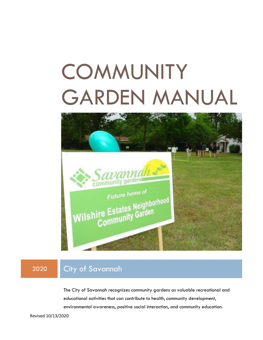# **COMMUNITY** GARDEN MANUAL



## 2020 City of Savannah

The City of Savannah recognizes community gardens as valuable recreational and educational activities that can contribute to health, community development, environmental awareness, positive social interaction, and community education.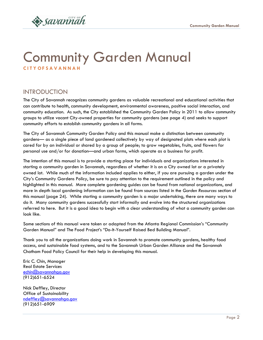

# Community Garden Manual **CITY OF SAVANNAH**

## INTRODUCTION

The City of Savannah recognizes community gardens as valuable recreational and educational activities that can contribute to health, community development, environmental awareness, positive social interaction, and community education. As such, the City established the Community Garden Policy in 2011 to allow community groups to utilize vacant City-owned properties for community gardens (see page 4) and seeks to support community efforts to establish community gardens in all forms.

The City of Savannah Community Garden Policy and this manual make a distinction between community gardens— as a single piece of land gardened collectively by way of designated plots where each plot is cared for by an individual or shared by a group of people; to grow vegetables, fruits, and flowers for personal use and/or for donation—and urban farms, which operate as a business for profit.

The intention of this manual is to provide a starting place for individuals and organizations interested in starting a community garden in Savannah, regardless of whether it is on a City owned lot or a privately owned lot. While much of the information included applies to either, if you are pursuing a garden under the City's Community Gardens Policy, be sure to pay attention to the requirement outlined in the policy and highlighted in this manual. More complete gardening guides can be found from national organizations, and more in depth local gardening information can be found from sources listed in the Garden Resources section of this manual (page 24). While starting a community garden is a major undertaking, there are many ways to do it. Many community gardens successfully start informally and evolve into the structured organizations referred to here. But it is a good idea to begin with a clear understanding of what a community garden can look like.

Some sections of this manual were taken or adapted from the Atlanta Regional Commission's "Community Garden Manual" and The Food Project's "Do-It-Yourself Raised Bed Building Manual".

Thank you to all the organizations doing work in Savannah to promote community gardens, healthy food access, and sustainable food systems, and to the Savannah Urban Garden Alliance and the Savannah Chatham Food Policy Council for their help in developing this manual.

Eric C. Chin, Manager Real Estate Services echin@savannahga.gov (912)651-6524

Nick Deffley, Director Office of Sustainability ndeffley@savannahga.gov (912)651-6909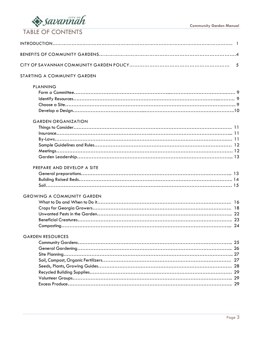

| 5                                 |  |
|-----------------------------------|--|
| STARTING A COMMUNITY GARDEN       |  |
| <b>PLANNING</b>                   |  |
|                                   |  |
|                                   |  |
|                                   |  |
|                                   |  |
| <b>GARDEN ORGANIZATION</b>        |  |
|                                   |  |
|                                   |  |
|                                   |  |
|                                   |  |
|                                   |  |
|                                   |  |
| PREPARE AND DEVELOP A SITE        |  |
|                                   |  |
|                                   |  |
|                                   |  |
| <b>GROWING A COMMUNITY GARDEN</b> |  |
|                                   |  |
|                                   |  |
|                                   |  |
|                                   |  |
|                                   |  |
| <b>GARDEN RESOURCES</b>           |  |
|                                   |  |
|                                   |  |
|                                   |  |
|                                   |  |
|                                   |  |
|                                   |  |
|                                   |  |
|                                   |  |
|                                   |  |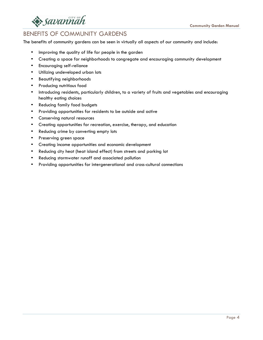savannah

## BENEFITS OF COMMUNITY GARDENS

The benefits of community gardens can be seen in virtually all aspects of our community and include:

- Improving the quality of life for people in the garden
- Creating a space for neighborhoods to congregate and encouraging community development
- Encouraging self-reliance
- Utilizing undeveloped urban lots
- Beautifying neighborhoods
- Producing nutritious food
- Introducing residents, particularly children, to a variety of fruits and vegetables and encouraging healthy eating choices
- Reducing family food budgets
- Providing opportunities for residents to be outside and active
- Conserving natural resources
- Creating opportunities for recreation, exercise, therapy, and education
- Reducing crime by converting empty lots
- Preserving green space
- Creating income opportunities and economic development
- Reducing city heat (heat island effect) from streets and parking lot
- Reducing stormwater runoff and associated pollution
- Providing opportunities for intergenerational and cross-cultural connections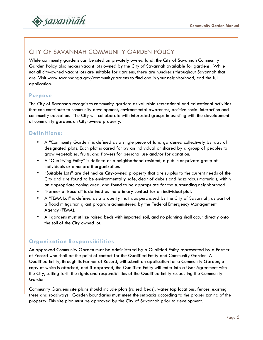

While community gardens can be sited on privately owned land, the City of Savannah Community Garden Policy also makes vacant lots owned by the City of Savannah available for gardens. While not all city-owned vacant lots are suitable for gardens, there are hundreds throughout Savannah that are. Visit www.savannahga.gov/communitygardens to find one in your neighborhood, and the full application.

#### Purpose

The City of Savannah recognizes community gardens as valuable recreational and educational activities that can contribute to community development, environmental awareness, positive social interaction and community education. The City will collaborate with interested groups in assisting with the development of community gardens on City-owned property.

## Definitions:

- A "Community Garden" is defined as a single piece of land gardened collectively by way of designated plots. Each plot is cared for by an individual or shared by a group of people; to grow vegetables, fruits, and flowers for personal use and/or for donation.
- A "Qualifying Entity" is defined as a neighborhood resident, a public or private group of individuals or a nonprofit organization.
- "Suitable Lots" are defined as City-owned property that are surplus to the current needs of the City and are found to be environmentally safe, clear of debris and hazardous materials, within an appropriate zoning area, and found to be appropriate for the surrounding neighborhood.
- "Farmer of Record" is defined as the primary contact for an individual plot.
- A "FEMA Lot" is defined as a property that was purchased by the City of Savannah, as part of a flood mitigation grant program administered by the Federal Emergency Management Agency (FEMA).
- All gardens must utilize raised beds with imported soil, and no planting shall occur directly onto the soil of the City owned lot.

## Organization Responsibilities

An approved Community Garden must be administered by a Qualified Entity represented by a Farmer of Record who shall be the point of contact for the Qualified Entity and Community Garden. A Qualified Entity, through its Farmer of Record, will submit an application for a Community Garden, a copy of which is attached, and if approved, the Qualified Entity will enter into a User Agreement with the City, setting forth the rights and responsibilities of the Qualified Entity respecting the Community Garden.

Community Gardens site plans should include plots (raised beds), water tap locations, fences, existing trees and roadways. Garden boundaries must meet the setbacks according to the proper zoning of the property. This site plan must be approved by the City of Savannah prior to development.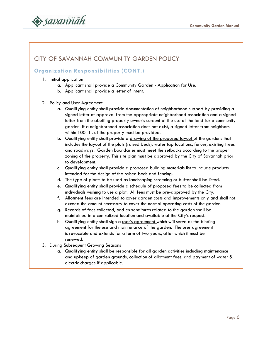

## Organization Responsibilities (CONT.)

- 1. Initial application
	- a. Applicant shall provide a Community Garden Application for Use.
	- b. Applicant shall provide a letter of intent.
- 2. Policy and User Agreement:
	- a. Qualifying entity shall provide documentation of neighborhood support by providing a signed letter of approval from the appropriate neighborhood association and a signed letter from the abutting property owner's consent of the use of the land for a community garden. If a neighborhood association does not exist, a signed letter from neighbors within 100" ft. of the property must be provided.
	- b. Qualifying entity shall provide a drawing of the proposed layout of the gardens that includes the layout of the plots (raised beds), water tap locations, fences, existing trees and roadways. Garden boundaries must meet the setbacks according to the proper zoning of the property. This site plan must be approved by the City of Savannah prior to development.
	- c. Qualifying entity shall provide a proposed building materials list to include products intended for the design of the raised beds and fencing.
	- d. The type of plants to be used as landscaping screening or buffer shall be listed.
	- e. Qualifying entity shall provide a schedule of proposed fees to be collected from individuals wishing to use a plot. All fees must be pre-approved by the City.
	- f. Allotment fees are intended to cover garden costs and improvements only and shall not exceed the amount necessary to cover the normal operating costs of the garden.
	- g. Records of fees collected, and expenditures related to the garden shall be maintained in a centralized location and available at the City's request.
	- h. Qualifying entity shall sign a user's agreement which will serve as the binding agreement for the use and maintenance of the garden. The user agreement is revocable and extends for a term of two years, after which it must be renewed.
- 3. During Subsequent Growing Seasons
	- a. Qualifying entity shall be responsible for all garden activities including maintenance and upkeep of garden grounds, collection of allotment fees, and payment of water & electric charges if applicable.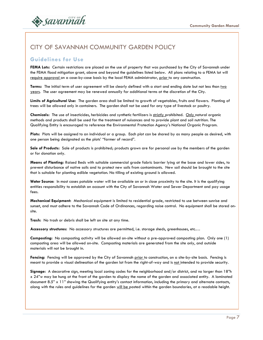## Guidelines for Use

FEMA Lots: Certain restrictions are placed on the use of property that was purchased by the City of Savannah under the FEMA flood mitigation grant, above and beyond the guidelines listed below. All plans relating to a FEMA lot will require approval on a case-by-case basis by the local FEMA administrator, prior to any construction.

Terms: The initial term of user agreement will be clearly defined with a start and ending date but not less than two years. The user agreement may be renewed annually for additional terms at the discretion of the City.

Limits of Agricultural Use: The garden area shall be limited to growth of vegetables, fruits and flowers. Planting of trees will be allowed only in containers. The garden shall not be used for any type of livestock or poultry.

Chemicals: The use of insecticides, herbicides and synthetic fertilizers is strictly prohibited. Only natural organic methods and products shall be used for the treatment of nuisances and to provide plant and soil nutrition. The Qualifying Entity is encouraged to reference the Environmental Protection Agency's National Organic Program.

Plots: Plots will be assigned to an individual or a group. Each plot can be shared by as many people as desired, with one person being designated as the plots' "farmer of record".

Sale of Products: Sale of products is prohibited; products grown are for personal use by the members of the garden or for donation only.

Means of Planting: Raised Beds with suitable commercial grade fabric barrier lying at the base and lower sides, to prevent disturbance of native soils and to protect new soils from contaminants. New soil should be brought to the site that is suitable for planting edible vegetation. No tilling of existing ground is allowed.

Water Source: In most cases potable water will be available on or in close proximity to the site. It is the qualifying entities responsibility to establish an account with the City of Savannah Water and Sewer Department and pay usage fees.

Mechanical Equipment: Mechanical equipment is limited to residential grade, restricted to use between sunrise and sunset, and must adhere to the Savannah Code of Ordinances, regarding noise control. No equipment shall be stored onsite.

Trash: No trash or debris shall be left on site at any time.

Accessory structures: No accessory structures are permitted, i.e. storage sheds, greenhouses, etc....

Composting: No composting activity will be allowed on-site without a pre-approved composting plan. Only one (1) composting area will be allowed on-site. Composting materials are generated from the site only, and outside materials will not be brought in.

Fencing: Fencing will be approved by the City of Savannah prior to construction, on a site-by-site basis. Fencing is meant to provide a visual delineation of the garden lot from the right-of-way and is not intended to provide security.

Signage: A decorative sign, meeting local zoning codes for the neighborhood and/or district, and no larger than 18"h x 24"w may be hung at the front of the garden to display the name of the garden and associated entity. A laminated document 8.5" x 11" showing the Qualifying entity's contact information, including the primary and alternate contacts, along with the rules and guidelines for the garden will be posted within the garden boundaries, at a readable height.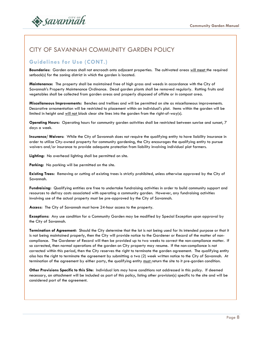

## Guidelines for Use (CONT.)

Boundaries: Garden areas shall not encroach onto adjacent properties. The cultivated areas will meet the required setback(s) for the zoning district in which the garden is located.

Maintenance: The property shall be maintained free of high grass and weeds in accordance with the City of Savannah's Property Maintenance Ordinance. Dead garden plants shall be removed regularly. Rotting fruits and vegetables shall be collected from garden areas and properly disposed of offsite or in compost area.

Miscellaneous Improvements: Benches and trellises and will be permitted on site as miscellaneous improvements. Decorative ornamentation will be restricted to placement within an individual's plot. Items within the garden will be limited in height and will not block clear site lines into the garden from the right-of-way(s).

Operating Hours: Operating hours for community garden activities shall be restricted between sunrise and sunset, 7 days a week.

Insurance/ Waivers: While the City of Savannah does not require the qualifying entity to have liability insurance in order to utilize City-owned property for community gardening, the City encourages the qualifying entity to pursue waivers and/or insurance to provide adequate protection from liability involving individual plot farmers.

Lighting: No overhead lighting shall be permitted on site.

Parking: No parking will be permitted on the site.

Existing Trees: Removing or cutting of existing trees is strictly prohibited, unless otherwise approved by the City of Savannah.

Fundraising: Qualifying entities are free to undertake fundraising activities in order to build community support and resources to defray costs associated with operating a community garden. However, any fundraising activities involving use of the actual property must be pre-approved by the City of Savannah.

Access: The City of Savannah must have 24-hour access to the property.

**Exceptions:** Any use condition for a Community Garden may be modified by Special Exception upon approval by the City of Savannah.

Termination of Agreement: Should the City determine that the lot is not being used for its intended purpose or that it is not being maintained properly, then the City will provide notice to the Gardener or Record of the matter of noncompliance. The Gardener of Record will then be provided up to two weeks to correct the non-compliance matter. If so corrected, then normal operations of the garden on City property may resume. If the non-compliance is not corrected within this period, then the City reserves the right to terminate the garden agreement. The qualifying entity also has the right to terminate the agreement by submitting a two (2) week written notice to the City of Savannah. At termination of the agreement by either party, the qualifying entity must return the site to it pre-garden condition.

Other Provisions Specific to this Site: Individual lots may have conditions not addressed in this policy. If deemed necessary, an attachment will be included as part of this policy, listing other provision(s) specific to the site and will be considered part of the agreement.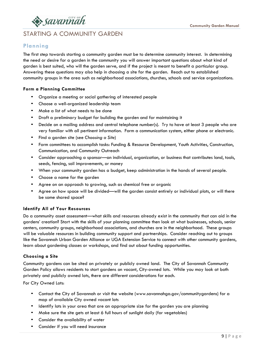

## STARTING A COMMUNITY GARDEN

## Planning

The first step towards starting a community garden must be to determine community interest. In determining the need or desire for a garden in the community you will answer important questions about what kind of garden is best suited, who will the garden serve, and if the project is meant to benefit a particular group. Answering these questions may also help in choosing a site for the garden. Reach out to established community groups in the area such as neighborhood associations, churches, schools and service organizations.

#### Form a Planning Committee

- Organize a meeting or social gathering of interested people
- Choose a well-organized leadership team
- Make a list of what needs to be done
- Draft a preliminary budget for building the garden and for maintaining it
- Decide on a mailing address and central telephone number(s). Try to have at least 3 people who are very familiar with all pertinent information. Form a communication system, either phone or electronic.
- Find a garden site (see Choosing a Site)
- Form committees to accomplish tasks: Funding & Resource Development, Youth Activities, Construction, Communication, and Community Outreach
- Consider approaching a sponsor—an individual, organization, or business that contributes land, tools, seeds, fencing, soil improvements, or money
- When your community garden has a budget, keep administration in the hands of several people.
- Choose a name for the garden
- Agree on an approach to growing, such as chemical free or organic
- Agree on how space will be divided—will the garden consist entirely or individual plots, or will there be some shared space?

#### Identify All of Your Resources

Do a community asset assessment—what skills and resources already exist in the community that can aid in the gardens' creation? Start with the skills of your planning committee then look at what businesses, schools, senior centers, community groups, neighborhood associations, and churches are in the neighborhood. These groups will be valuable resources in building community support and partnerships. Consider reaching out to groups like the Savannah Urban Garden Alliance or UGA Extension Service to connect with other community gardens, learn about gardening classes or workshops, and find out about funding opportunities.

#### Choosing a Site

Community gardens can be sited on privately or publicly owned land. The City of Savannah Community Garden Policy allows residents to start gardens on vacant, City-owned lots. While you may look at both privately and publicly owned lots, there are different considerations for each.

For City Owned Lots:

- Contact the City of Savannah or visit the website (www.savannahga.gov/communitygardens) for a map of available City owned vacant lots
- Identify lots in your area that are an appropriate size for the garden you are planning
- Make sure the site gets at least 6 full hours of sunlight daily (for vegetables)
- Consider the availability of water
- Consider if you will need insurance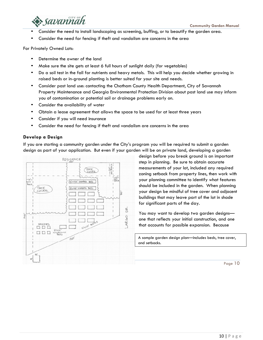

- Consider the need to install landscaping as screening, buffing, or to beautify the garden area.
- Consider the need for fencing if theft and vandalism are concerns in the area

For Privately Owned Lots:

- Determine the owner of the land
- Make sure the site gets at least 6 full hours of sunlight daily (for vegetables)
- Do a soil test in the fall for nutrients and heavy metals. This will help you decide whether growing in raised beds or in-ground planting is better suited for your site and needs.
- Consider past land use: contacting the Chatham County Health Department, City of Savannah Property Maintenance and Georgia Environmental Protection Division about past land use may inform you of contamination or potential soil or drainage problems early on.
- Consider the availability of water
- Obtain a lease agreement that allows the space to be used for at least three years
- Consider if you will need insurance
- Consider the need for fencing if theft and vandalism are concerns in the area

#### Develop a Design

If you are starting a community garden under the City's program you will be required to submit a garden design as part of your application. But even if your garden will be on private land, developing a garden



design before you break ground is an important step in planning. Be sure to obtain accurate measurements of your lot, included any required zoning setback from property lines, then work with your planning committee to identify what features should be included in the garden. When planning your design be mindful of tree cover and adjacent buildings that may leave part of the lot in shade for significant parts of the day.

You may want to develop two garden designs one that reflects your initial construction, and one that accounts for possible expansion. Because

A sample garden design plan—includes beds, tree cover, and setbacks.

Page 10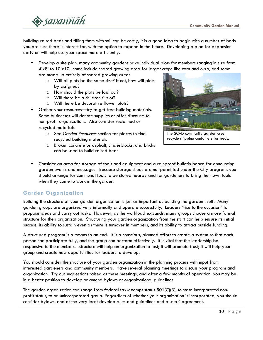

building raised beds and filling them with soil can be costly, it is a good idea to begin with a number of beds you are sure there is interest for, with the option to expand in the future. Developing a plan for expansion early on will help use your space more efficiently.

- Develop a site plan: many community gardens have individual plots for members ranging in size from 4'x8' to 10'x10', some include shared growing area for larger crops like corn and okra, and some are made up entirely of shared growing areas
	- o Will all plots be the same size? If not, how will plots by assigned?
	- o How should the plots be laid out?
	- o Will there be a children's' plot?
	- o Will there be decorative flower plots?
- Gather your resources—try to get free building materials. Some businesses will donate supplies or offer discounts to non-profit organizations. Also consider reclaimed or recycled materials
	- o See Garden Resources section for places to find recycled building materials
	- o Broken concrete or asphalt, cinderblocks, and bricks can be used to build raised beds



The SCAD community garden uses recycle shipping containers for beds.

• Consider an area for storage of tools and equipment and a rainproof bulletin board for announcing garden events and messages. Because storage sheds are not permitted under the City program, you should arrange for communal tools to be stored nearby and for gardeners to bring their own tools when they come to work in the garden.

## Garden Organization

Building the structure of your garden organization is just as important as building the garden itself. Many garden groups are organized very informally and operate successfully. Leaders "rise to the occasion" to propose ideas and carry out tasks. However, as the workload expands, many groups choose a more formal structure for their organization. Structuring your garden organization from the start can help ensure its initial success, its ability to sustain even as there is turnover in members, and its ability to attract outside funding.

A structured program is a means to an end. It is a conscious, planned effort to create a system so that each person can participate fully, and the group can perform effectively. It is vital that the leadership be responsive to the members. Structure will help an organization to last; it will promote trust; it will help your group and create new opportunities for leaders to develop.

You should consider the structure of your garden organization in the planning process with input from interested gardeners and community members. Have several planning meetings to discuss your program and organization. Try out suggestions raised at these meetings, and after a few months of operation, you may be in a better position to develop or amend bylaws or organizational guidelines.

The garden organization can range from federal tax-exempt status 501(C)(3), to state incorporated nonprofit status, to an unincorporated group. Regardless of whether your organization is incorporated, you should consider bylaws, and at the very least develop rules and guidelines and a users' agreement.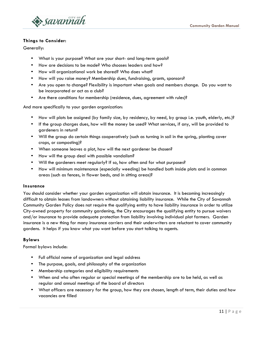

#### Things to Consider:

Generally:

- What is your purpose? What are your short- and long-term goals?
- How are decisions to be made? Who chooses leaders and how?
- How will organizational work be shared? Who does what?
- How will you raise money? Membership dues, fundraising, grants, sponsors?
- Are you open to change? Flexibility is important when goals and members change. Do you want to be incorporated or act as a club?
- Are there conditions for membership (residence, dues, agreement with rules)?

And more specifically to your garden organization:

- How will plots be assigned (by family size, by residency, by need, by group i.e. youth, elderly, etc.)?
- If the group charges dues, how will the money be used? What services, if any, will be provided to gardeners in return?
- Will the group do certain things cooperatively (such as turning in soil in the spring, planting cover crops, or composting)?
- When someone leaves a plot, how will the next gardener be chosen?
- How will the group deal with possible vandalism?
- Will the gardeners meet regularly? If so, how often and for what purposes?
- How will minimum maintenance (especially weeding) be handled both inside plots and in common areas (such as fences, in flower beds, and in sitting areas)?

#### Insurance

You should consider whether your garden organization will obtain insurance. It is becoming increasingly difficult to obtain leases from landowners without obtaining liability insurance. While the City of Savannah Community Garden Policy does not require the qualifying entity to have liability insurance in order to utilize City-owned property for community gardening, the City encourages the qualifying entity to pursue waivers and/or insurance to provide adequate protection from liability involving individual plot farmers. Garden insurance is a new thing for many insurance carriers and their underwriters are reluctant to cover community gardens. It helps if you know what you want before you start talking to agents.

#### Bylaws

Formal bylaws include:

- Full official name of organization and legal address
- The purpose, goals, and philosophy of the organization
- Membership categories and eligibility requirements
- When and who often regular or special meetings of the membership are to be held, as well as regular and annual meetings of the board of directors
- What officers are necessary for the group, how they are chosen, length of term, their duties and how vacancies are filled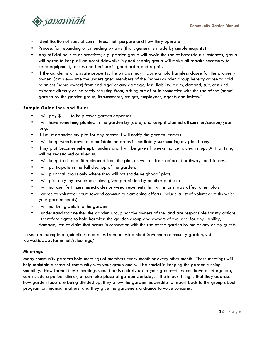

- Identification of special committees, their purpose and how they operate
- Process for rescinding or amending bylaws (this is generally made by simple majority)
- Any official policies or practices; e.g. garden group will avoid the use of hazardous substances; group will agree to keep all adjacent sidewalks in good repair; group will make all repairs necessary to keep equipment, fences and furniture in good order and repair.
- If the garden is on private property, the bylaws may include a hold harmless clause for the property owner: Sample—"We the undersigned members of the (name) garden group hereby agree to hold harmless (name owner) from and against any damage, loss, liability, claim, demand, suit, cost and expense directly or indirectly resulting from, arising out of or in connection with the use of the (name) garden by the garden group, its successors, assigns, employees, agents and invites."

#### Sample Guidelines and Rules

- I will pay \$\_\_\_\_to help cover garden expenses
- I will have something planted in the garden by (date) and keep it planted all summer/season/year long.
- If I must abandon my plot for any reason, I will notify the garden leaders.
- I will keep weeds down and maintain the areas immediately surrounding my plot, if any.
- If my plot becomes unkempt, I understand I will be given 1 weeks' notice to clean it up. At that time, it will be reassigned or tilled in.
- I will keep trash and litter cleaned from the plot, as well as from adjacent pathways and fences.
- I will participate in the fall cleanup of the garden.
- I will plant tall crops only where they will not shade neighbors' plots.
- I will pick only my own crops unless given permission by another plot user.
- I will not user fertilizers, insecticides or weed repellents that will in any way affect other plots.
- I agree to volunteer hours toward community gardening efforts (include a list of volunteer tasks which your garden needs)
- I will not bring pets into the garden
- I understand that neither the garden group nor the owners of the land are responsible for my actions. I therefore agree to hold harmless the garden group and owners of the land for any liability, damage, loss of claim that occurs in connection with the use of the garden by me or any of my guests.

To see an example of guidelines and rules from an established Savannah community garden, visit www.skidawayfarms.net/rules-regs/

#### Meetings

Many community gardens hold meetings of members every month or every other month. These meetings will help maintain a sense of community with your group and will be crucial in keeping the garden running smoothly. How formal these meetings should be is entirely up to your group—they can have a set agenda, can include a potluck dinner, or can take place at garden workdays. The import thing is that they address how garden tasks are being divided up, they allow the garden leadership to report back to the group about program or financial matters, and they give the gardeners a chance to voice concerns.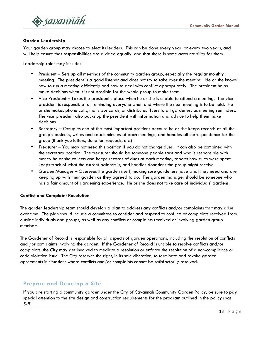

#### Garden Leadership

Your garden group may choose to elect its leaders. This can be done every year, or every two years, and will help ensure that responsibilities are divided equally, and that there is some accountability for them.

Leadership roles may include:

- President Sets up all meetings of the community garden group, especially the regular monthly meeting. The president is a good listener and does not try to take over the meeting. He or she knows how to run a meeting efficiently and how to deal with conflict appropriately. The president helps make decisions when it is not possible for the whole group to make them.
- Vice President Takes the president's place when he or she is unable to attend a meeting. The vice president is responsible for reminding everyone when and where the next meeting is to be held. He or she makes phone calls, mails postcards, or distributes flyers to all gardeners as meeting reminders. The vice president also packs up the president with information and advice to help them make decisions.
- Secretary Occupies one of the most important positions because he or she keeps records of all the group's business, writes and reads minutes at each meetings, and handles all correspondence for the group (thank you letters, donation requests, etc.)
- Treasurer You may not need this position if you do not charge dues. It can also be combined with the secretary position. The treasurer should be someone people trust and who is responsible with money he or she collects and keeps records of dues at each meeting, reports how dues were spent, keeps track of what the current balance is, and handles donations the group might receive
- Garden Manager Oversees the garden itself, making sure gardeners have what they need and are keeping up with their garden as they agreed to do. The garden manager should be someone who has a fair amount of gardening experience. He or she does not take care of individuals' gardens.

#### Conflict and Complaint Resolution

The garden leadership team should develop a plan to address any conflicts and/or complaints that may arise over time. The plan should include a committee to consider and respond to conflicts or complaints received from outside individuals and groups, as well as any conflicts or complaints received or involving garden group members.

The Gardener of Record is responsible for all aspects of garden operations, including the resolution of conflicts and /or complaints involving the garden. If the Gardener of Record is unable to resolve conflicts and/or complaints, the City may get involved to mediate a resolution or enforce the resolution of a non-compliance or code violation issue. The City reserves the right, in its sole discretion, to terminate and revoke garden agreements in situations where conflicts and/or complaints cannot be satisfactorily resolved.

#### Prepare and Develop a Site

If you are starting a community garden under the City of Savannah Community Garden Policy, be sure to pay special attention to the site design and construction requirements for the program outlined in the policy (pgs. 5-8)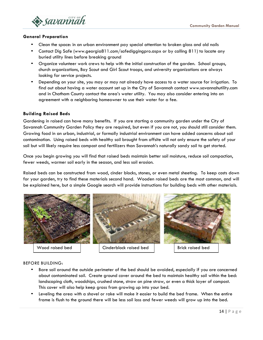

#### General Preparation

- Clean the space: in an urban environment pay special attention to broken glass and old nails
- Contact Dig Safe (www.georgia811.com/safediggingpro.aspx or by calling 811) to locate any buried utility lines before breaking ground
- Organize volunteer work crews to help with the initial construction of the garden. School groups, church organizations, Boy Scout and Girl Scout troops, and university organizations are always looking for service projects.
- Depending on your site, you may or may not already have access to a water source for irrigation. To find out about having a water account set up in the City of Savannah contact www.savannahutility.com and in Chatham County contact the area's water utility. You may also consider entering into an agreement with a neighboring homeowner to use their water for a fee.

#### Building Raised Beds

Gardening in raised can have many benefits. If you are starting a community garden under the City of Savannah Community Garden Policy they are required, but even if you are not, you should still consider them. Growing food in an urban, industrial, or formally industrial environment can have added concerns about soil contamination. Using raised beds with healthy soil brought from offsite will not only ensure the safety of your soil but will likely require less compost and fertilizers than Savannah's naturally sandy soil to get started.

Once you begin growing you will find that raised beds maintain better soil moisture, reduce soil compaction, fewer weeds, warmer soil early in the season, and less soil erosion.

Raised beds can be constructed from wood, cinder blocks, stones, or even metal sheeting. To keep costs down for your garden, try to find these materials second hand. Wooden raised beds are the most common, and will be explained here, but a simple Google search will provide instructions for building beds with other materials.



#### BEFORE BUILDING:

- Bare soil around the outside perimeter of the bed should be avoided, especially if you are concerned about contaminated soil. Create ground cover around the bed to maintain healthy soil within the bed: landscaping cloth, woodchips, crushed stone, straw on pine straw, or even a thick layer of compost. This cover will also help keep grass from growing up into your bed.
- Leveling the area with a shovel or rake will make it easier to build the bed frame. When the entire frame is flush to the ground there will be less soil loss and fewer weeds will grow up into the bed.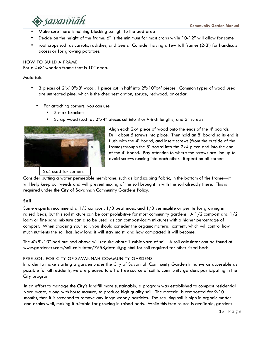

- Make sure there is nothing blocking sunlight to the bed area
- Decide on the height of the frame: 6" is the minimum for most crops while 10-12" will allow for some
- root crops such as carrots, radishes, and beets. Consider having a few tall frames (2-3') for handicap access or for growing potatoes.

HOW TO BUILD A FRAME For a 4x8' wooden frame that is 10" deep.

#### **Materials**

- 3 pieces of 2"x10"x8' wood, 1 piece cut in half into 2"x10"x4' pieces. Common types of wood used are untreated pine, which is the cheapest option, spruce, redwood, or cedar.
	- For attaching corners, you can use
		- Z-max brackets
		- Scrap wood (such as 2"x4" pieces cut into 8 or 9-inch lengths) and 3" screws



Align each 2x4 piece of wood onto the ends of the 4' boards. Drill about 5 screws into place. Then hold an 8' board so its end is flush with the 4' board, and insert screws (from the outside of the frame) through the 8' board into the 2x4 piece and into the end of the 4' board. Pay attention to where the screws are line up to avoid screws running into each other. Repeat on all corners.

Consider putting a water permeable membrane, such as landscaping fabric, in the bottom of the frame—it will help keep out weeds and will prevent mixing of the soil brought in with the soil already there. This is required under the City of Savannah Community Gardens Policy.

#### Soil

Some experts recommend a  $1/3$  compost,  $1/3$  peat moss, and  $1/3$  vermiculite or perlite for growing in raised beds, but this soil mixture can be cost prohibitive for most community gardens. A  $1/2$  compost and  $1/2$ loam or fine sand mixture can also be used, as can compost-loam mixtures with a higher percentage of compost. When choosing your soil, you should consider the organic material content, which will control how much nutrients the soil has, how long it will stay moist, and how compacted it will become.

The 4'x8'x10" bed outlined above will require about 1 cubic yard of soil. A soil calculator can be found at www.gardeners.com/soil-calculator/7558,default,pg.html for soil required for other sized beds.

#### FREE SOIL FOR CITY OF SAVANNAH COMMUNITY GARDENS

In order to make starting a garden under the City of Savannah Community Garden Initiative as accessible as possible for all residents, we are pleased to off a free source of soil to community gardens participating in the City program.

In an effort to manage the City's landfill more sustainably, a program was established to compost residential yard waste, along with horse manure, to produce high quality soil. The material is composted for 9-10 months, then it is screened to remove any large woody particles. The resulting soil is high in organic matter and drains well, making it suitable for growing in raised beds. While this free source is available, gardens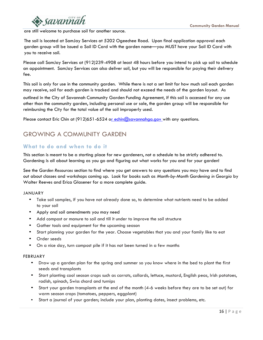

are still welcome to purchase soil for another source.

The soil is located at SamJay Services at 5202 Ogeechee Road. Upon final application approval each garden group will be issued a Soil ID Card with the garden name—you MUST have your Soil ID Card with you to receive soil.

Please call SamJay Services at (912)239-4908 at least 48 hours before you intend to pick up soil to schedule an appointment. SamJay Services can also deliver soil, but you will be responsible for paying their delivery fee.

This soil is only for use in the community garden. While there is not a set limit for how much soil each garden may receive, soil for each garden is tracked and should not exceed the needs of the garden layout. As

outlined in the City of Savannah Community Garden Funding Agreement, if this soil is accessed for any use other than the community garden, including personal use or sale, the garden group will be responsible for reimbursing the City for the total value of the soil improperly used.

Please contact Eric Chin at (912)651-6524 or echin@savannahga.gov with any questions.

## GROWING A COMMUNITY GARDEN

## What to do and when to do it

This section is meant to be a starting place for new gardeners, not a schedule to be strictly adhered to. Gardening is all about learning as you go and figuring out what works for you and for your garden!

See the Garden Resources section to find where you get answers to any questions you may have and to find out about classes and workshops coming up. Look for books such as Month-by-Month Gardening in Georgia by Walter Reeves and Erica Glasener for a more complete guide.

#### JANUARY

- Take soil samples, if you have not already done so, to determine what nutrients need to be added to your soil
- Apply and soil amendments you may need
- Add compost or manure to soil and till it under to improve the soil structure
- Gather tools and equipment for the upcoming season
- Start planning your garden for the year. Choose vegetables that you and your family like to eat
- Order seeds
- On a nice day, turn compost pile if it has not been turned in a few months

#### FEBRUARY

- Draw up a garden plan for the spring and summer so you know where in the bed to plant the first seeds and transplants
- Start planting cool season crops such as carrots, collards, lettuce, mustard, English peas, Irish potatoes, radish, spinach, Swiss chard and turnips
- Start your garden transplants at the end of the month (4-6 weeks before they are to be set out) for warm season crops (tomatoes, peppers, eggplant)
- Start a journal of your garden; include your plan, planting dates, insect problems, etc.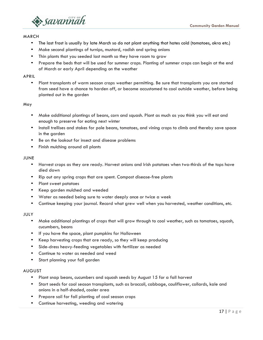

#### MARCH

- The last frost is usually by late March so do not plant anything that hates cold (tomatoes, okra etc.)
- Make second plantings of turnips, mustard, radish and spring onions
- Thin plants that you seeded last month so they have room to grow
- Prepare the beds that will be used for summer crops. Planting of summer crops can begin at the end of March or early April depending on the weather

#### APRIL

• Plant transplants of warm season crops weather permitting. Be sure that transplants you are started from seed have a chance to harden off, or become accustomed to cool outside weather, before being planted out in the garden

#### May

- Make additional plantings of beans, corn and squash. Plant as much as you think you will eat and enough to preserve for eating next winter
- Install trellises and stakes for pole beans, tomatoes, and vining crops to climb and thereby save space in the garden
- Be on the lookout for insect and disease problems
- Finish mulching around all plants

#### JUNE

- Harvest crops as they are ready. Harvest onions and Irish potatoes when two-thirds of the tops have died down
- Rip out any spring crops that are spent. Compost disease-free plants
- Plant sweet potatoes
- Keep garden mulched and weeded
- Water as needed being sure to water deeply once or twice a week
- Continue keeping your journal. Record what grew well when you harvested, weather conditions, etc.

#### JULY

- Make additional plantings of crops that will grow through to cool weather, such as tomatoes, squash, cucumbers, beans
- If you have the space, plant pumpkins for Halloween
- Keep harvesting crops that are ready, so they will keep producing
- Side-dress heavy-feeding vegetables with fertilizer as needed
- Continue to water as needed and weed
- Start planning your fall garden

#### AUGUST

- Plant snap beans, cucumbers and squash seeds by August 15 for a fall harvest
- Start seeds for cool season transplants, such as broccoli, cabbage, cauliflower, collards, kale and onions in a half-shaded, cooler area
- Prepare soil for fall planting of cool season crops
- Continue harvesting, weeding and watering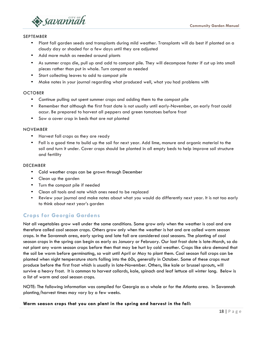

#### SEPTEMBER

- Plant fall garden seeds and transplants during mild weather. Transplants will do best if planted on a cloudy day or shaded for a few days until they are adjusted
- Add more mulch as needed around plants
- As summer crops die, pull up and add to compost pile. They will decompose faster if cut up into small pieces rather than put in whole. Turn compost as needed
- Start collecting leaves to add to compost pile
- Make notes in your journal regarding what produced well, what you had problems with

#### **OCTOBER**

- Continue pulling out spent summer crops and adding them to the compost pile
- Remember that although the first frost date is not usually until early-November, an early frost could occur. Be prepared to harvest all peppers and green tomatoes before frost
- Sow a cover crop in beds that are not planted

#### NOVEMBER

- Harvest fall crops as they are ready
- Fall is a good time to build up the soil for next year. Add lime, manure and organic material to the soil and turn it under. Cover crops should be planted in all empty beds to help improve soil structure and fertility

#### DECEMBER

- Cold weather crops can be grown through December
- Clean up the garden
- Turn the compost pile if needed
- Clean all tools and note which ones need to be replaced
- Review your journal and make notes about what you would do differently next year. It is not too early to think about next year's garden

## Crops for Georgia Gardens

Not all vegetables grow well under the same conditions. Some grow only when the weather is cool and are therefore called cool season crops. Others grow only when the weather is hot and are called warm season crops. In the Savannah area, early spring and late fall are considered cool seasons. The planting of cool season crops in the spring can begin as early as January or February. Our last frost date is late-March, so do not plant any warm season crops before then that may be hurt by cold weather. Crops like okra demand that the soil be warm before germinating, so wait until April or May to plant them. Cool season fall crops can be planted when night temperature starts falling into the 60s, generally in October. Some of these crops must produce before the first frost which is usually in late-November. Others, like kale or brussel sprouts, will survive a heavy frost. It is common to harvest collards, kale, spinach and leaf lettuce all winter long. Below is a list of warm and cool season crops.

NOTE: The following information was compiled for Georgia as a whole or for the Atlanta area. In Savannah planting/harvest times may vary by a few weeks.

Warm season crops that you can plant in the spring and harvest in the fall: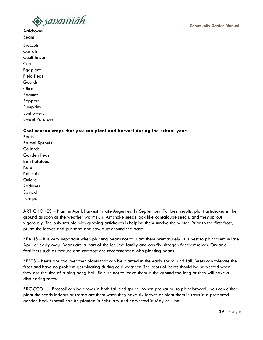

Artichokes Beans

Broccoli **Carrots Cauliflower** Corn Eggplant Field Peas Gourds Okra **Peanuts** Peppers Pumpkins **Sunflowers** 

Sweet Potatoes

#### Cool season crops that you can plant and harvest during the school year:

Beets Brussel Sprouts Collards Garden Peas Irish Potatoes Kale Kohlrabi Onions Radishes Spinach Turnips

ARTICHOKES – Plant in April, harvest in late August early September. For best results, plant artichokes in the ground as soon as the weather warms up. Artichoke seeds look like cantaloupe seeds, and they sprout vigorously. The only trouble with growing artichokes is helping them survive the winter. Prior to the first frost, prune the leaves and put sand and saw dust around the base.

BEANS – It is very important when planting beans not to plant them prematurely. It is best to plant them in late April or early May. Beans are a part of the legume family and can fix nitrogen for themselves. Organic fertilizers such as manure and compost are recommended with planting beans.

BEETS – Beets are cool weather plants that can be planted in the early spring and fall. Beets can tolerate the frost and have no problem germinating during cold weather. The roots of beets should be harvested when they are the size of a ping pong ball. Be sure not to leave them in the ground too long or they will have a displeasing taste.

BROCCOLI – Broccoli can be grown in both fall and spring. When preparing to plant broccoli, you can either plant the seeds indoors or transplant them when they have six leaves or plant them in rows in a prepared garden bed. Broccoli can be planted in February and harvested in May or June.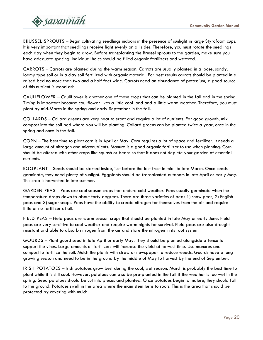

BRUSSEL SPROUTS – Begin cultivating seedlings indoors in the presence of sunlight in large Styrofoam cups. It is very important that seedlings receive light evenly on all sides. Therefore, you must rotate the seedlings each day when they begin to grow. Before transplanting the Brussel sprouts to the garden, make sure you have adequate spacing. Individual holes should be filled organic fertilizers and watered.

CARROTS – Carrots are planted during the warm season. Carrots are usually planted in a loose, sandy, loamy type soil or in a clay soil fertilized with organic material. For best results carrots should be planted in a raised bed no more than two and a half feet wide. Carrots need an abundance of potassium; a good source of this nutrient is wood ash.

CAULIFLOWER – Cauliflower is another one of those crops that can be planted in the fall and in the spring. Timing is important because cauliflower likes a little cool land and a little warm weather. Therefore, you must plant by mid-March in the spring and early September in the fall.

COLLARDS – Collard greens are very heat tolerant and require a lot of nutrients. For good growth, mix compost into the soil bed where you will be planting. Collard greens can be planted twice a year, once in the spring and once in the fall.

CORN – The best time to plant corn is in April or May. Corn requires a lot of space and fertilizer. It needs a large amount of nitrogen and micronutrients. Manure is a good organic fertilizer to use when planting. Corn should be altered with other crops like squash or beans so that it does not deplete your garden of essential nutrients.

EGGPLANT – Seeds should be started inside, just before the last frost in mid- to late March. Once seeds germinate, they need plenty of sunlight. Eggplants should be transplanted outdoors in late April or early May. This crop is harvested in late summer.

GARDEN PEAS – Peas are cool season crops that endure cold weather. Peas usually germinate when the temperature drops down to about forty degrees. There are three varieties of peas 1) snow peas, 2) English peas and 3) sugar snaps. Peas have the ability to create nitrogen for themselves from the air and require little or no fertilizer at all.

FIELD PEAS – Field peas are warm season crops that should be planted in late May or early June. Field peas are very sensitive to cool weather and require warm nights for survival. Field peas are also drought resistant and able to absorb nitrogen from the air and store the nitrogen in its root system.

GOURDS – Plant gourd seed in late April or early May. They should be planted alongside a fence to support the vines. Large amounts of fertilizers will increase the yield at harvest time. Use manures and compost to fertilize the soil. Mulch the plants with straw or newspaper to reduce weeds. Gourds have a long growing season and need to be in the ground by the middle of May to harvest by the end of September.

IRISH POTATOES – Irish potatoes grow best during the cool, wet season. March is probably the best time to plant while it is still cool. However, potatoes can also be pre-planted in the fall if the weather is too wet in the spring. Seed potatoes should be cut into pieces and planted. Once potatoes begin to mature, they should fall to the ground. Potatoes swell in the area where the main stem turns to roots. This is the area that should be protected by covering with mulch.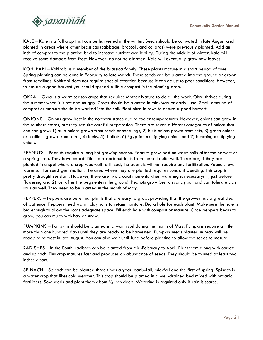

KALE – Kale is a fall crop that can be harvested in the winter. Seeds should be cultivated in late August and planted in areas where other brassicas (cabbage, broccoli, and collards) were previously planted. Add an inch of compost to the planting bed to increase nutrient availability. During the middle of winter, kale will receive some damage from frost. However, do not be alarmed. Kale will eventually grow new leaves.

KOHLRABI – Kohlrabi is a member of the brassica family. These plants mature in a short period of time. Spring planting can be done in February to late March. These seeds can be planted into the ground or grown from seedlings. Kohlrabi does not require special attention because it can adjust to poor conditions. However, to ensure a good harvest you should spread a little compost in the planting area.

OKRA – Okra is a warm season crops that requires Mother Nature to do all the work. Okra thrives during the summer when it is hot and muggy. Crops should be planted in mid-May or early June. Small amounts of compost or manure should be worked into the soil. Plant okra in rows to ensure a good harvest.

ONIONS – Onions grow best in the northern states due to cooler temperatures. However, onions can grow in the southern states, but they require careful preparation. There are seven different categories of onions that one can grow: 1) bulb onions grown from seeds or seedlings, 2) bulb onions grown from sets, 3) green onions or scallions grown from seeds, 4) leeks, 5) shallots, 6) Egyptian multiplying onions and 7) bunching multiplying onions.

PEANUTS – Peanuts require a long hot growing season. Peanuts grow best on warm soils after the harvest of a spring crop. They have capabilities to absorb nutrients from the soil quite well. Therefore, if they are planted in a spot where a crop was well fertilized, the peanuts will not require any fertilization. Peanuts love warm soil for seed germination. The area where they are planted requires constant weeding. This crop is pretty drought resistant. However, there are two crucial moments when watering is necessary: 1) just before flowering and 2) just after the pegs enters the ground. Peanuts grow best on sandy soil and can tolerate clay soils as well. They need to be planted in the month of May.

PEPPERS – Peppers are perennial plants that are easy to grow, providing that the grower has a great deal of patience. Peppers need warm, clay soils to retain moisture. Dig a hole for each plant. Make sure the hole is big enough to allow the roots adequate space. Fill each hole with compost or manure. Once peppers begin to grow, you can mulch with hay or straw.

PUMPKINS – Pumpkins should be planted in a warm soil during the month of May. Pumpkins require a little more than one hundred days until they are ready to be harvested. Pumpkin seeds planted in May will be ready to harvest in late August. You can also wait until June before planting to allow the seeds to mature.

RADISHES – In the South, radishes can be planted from mid-February to April. Plant them along with carrots and spinach. This crop matures fast and produces an abundance of seeds. They should be thinned at least two inches apart.

SPINACH – Spinach can be planted three times a year, early-fall, mid-fall and the first of spring. Spinach is a water crop that likes cold weather. This crop should be planted in a well-drained bed mixed with organic fertilizers. Sow seeds and plant them about  $\frac{1}{2}$  inch deep. Watering is required only if rain is scarce.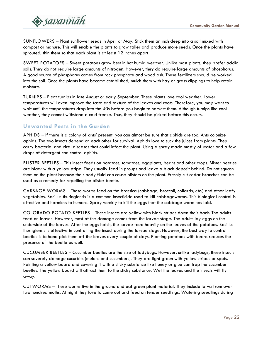

SUNFLOWERS – Plant sunflower seeds in April or May. Stick them an inch deep into a soil mixed with compost or manure. This will enable the plants to grow taller and produce more seeds. Once the plants have sprouted, thin them so that each plant is at least 12 inches apart.

SWEET POTATOES – Sweet potatoes grow best in hot humid weather. Unlike most plants, they prefer acidic soils. They do not require large amounts of nitrogen. However, they do require large amounts of phosphorus. A good source of phosphorus comes from rock phosphate and wood ash. These fertilizers should be worked into the soil. Once the plants have become established, mulch them with hay or grass clippings to help retain moisture.

TURNIPS – Plant turnips in late August or early September. These plants love cool weather. Lower temperatures will even improve the taste and texture of the leaves and roots. Therefore, you may want to wait until the temperatures drop into the 40s before you begin to harvest them. Although turnips like cool weather, they cannot withstand a cold freeze. Thus, they should be picked before this occurs.

## Unwanted Pests in the Garden

APHIDS – If there is a colony of ants' present, you can almost be sure that aphids are too. Ants colonize aphids. The two insects depend on each other for survival. Aphids love to suck the juices from plants. They carry bacterial and viral diseases that could infect the plant. Using a spray made mostly of water and a few drops of detergent can control aphids.

BLISTER BEETLES – This insect feeds on potatoes, tomatoes, eggplants, beans and other crops. Blister beetles are black with a yellow stripe. They usually feed in groups and leave a black deposit behind. Do not squash them on the plant because their body fluid can cause blisters on the plant. Freshly cut cedar branches can be used as a remedy for repelling the blister beetle.

CABBAGE WORMS – These worms feed on the brassica (cabbage, broccoli, collards, etc.) and other leafy vegetables. Bacillus thuringiensis is a common insecticide used to kill cabbageworms. This biological control is effective and harmless to humans. Spray weekly to kill the eggs that the cabbage worm has laid.

COLORADO POTATO BEETLES – These insects are yellow with black stripes down their back. The adults feed on leaves. However, most of the damage comes from the larvae stage. The adults lay eggs on the underside of the leaves. After the eggs hatch, the larvae feed heavily on the leaves of the potatoes. Bacillus thurngiensis is effective in controlling the insect during the larvae stage. However, the best way to control beetles is to hand pick them off the leaves every couple of days. Planting potatoes with beans reduces the presence of the beetle as well.

CUCUMBER BEETLES – Cucumber beetles are the size of ladybugs. However, unlike ladybugs, these insects can severely damage cucurbits (melons and cucumbers). They are light green with yellow stripes or spots. Painting a yellow board and covering it with a sticky substance like honey or glue can trap the cucumber beetles. The yellow board will attract them to the sticky substance. Wet the leaves and the insects will fly away.

CUTWORMS – These worms live in the ground and eat green plant material. They include larva from over two hundred moths. At night they love to come out and feed on tender seedlings. Watering seedlings during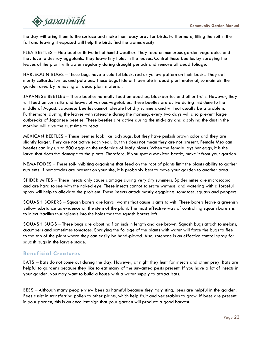

the day will bring them to the surface and make them easy prey for birds. Furthermore, tilling the soil in the fall and leaving it exposed will help the birds find the worms easily.

FLEA BEETLES – Flea beetles thrive in hot humid weather. They feed on numerous garden vegetables and they love to destroy eggplants. They leave tiny holes in the leaves. Control these beetles by spraying the leaves of the plant with water regularly during drought periods and remove all dead foliage.

HARLEQUIN BUGS – These bugs have a colorful black, red or yellow pattern on their backs. They eat mostly collards, turnips and potatoes. These bugs hide or hibernate in dead plant material, so maintain the garden area by removing all dead plant material.

JAPANESE BEETLES – These beetles normally feed on peaches, blackberries and other fruits. However, they will feed on corn silks and leaves of various vegetables. These beetles are active during mid-June to the middle of August. Japanese beetles cannot tolerate hot dry summers and will not usually be a problem. Furthermore, dusting the leaves with rotenone during the morning, every two days will also prevent large outbreaks of Japanese beetles. These beetles are active during the mid-day and applying the dust in the morning will give the dust time to react.

MEXICAN BEETLES – These beetles look like ladybugs, but they have pinkish brown color and they are slightly larger. They are not active each year, but this does not mean they are not present. Female Mexican beetles can lay up to 500 eggs on the underside of leafy plants. When the female lays her eggs, it is the larva that does the damage to the plants. Therefore, if you spot a Mexican beetle, move it from your garden.

NEMATODES – These soil-inhibiting organisms that feed on the root of plants limit the plants ability to gather nutrients. If nematodes are present on your site, it is probably best to move your garden to another area.

SPIDER MITES – These insects only cause damage during very dry summers. Spider mites are microscopic and are hard to see with the naked eye. These insects cannot tolerate wetness, and watering with a forceful spray will help to alleviate the problem. These insects attack mostly eggplants, tomatoes, squash and peppers.

SQUASH BORERS – Squash borers are larval worms that cause plants to wilt. These borers leave a greenish yellow substance as evidence on the stem of the plant. The most effective way of controlling squash borers is to inject bacillus thuringiensis into the holes that the squash borers left.

SQUASH BUGS – These bugs are about half an inch in length and are brown. Squash bugs attach to melons, cucumbers and sometimes tomatoes. Spraying the foliage of the plants with water will force the bugs to flee to the top of the plant where they can easily be hand-picked. Also, rotenone is an effective control spray for squash bugs in the larvae stage.

## Beneficial Creatures

BATS – Bats do not come out during the day. However, at night they hunt for insects and other prey. Bats are helpful to gardens because they like to eat many of the unwanted pests present. If you have a lot of insects in your garden, you may want to build a house with a water supply to attract bats.

BEES – Although many people view bees as harmful because they may sting, bees are helpful in the garden. Bees assist in transferring pollen to other plants, which help fruit and vegetables to grow. If bees are present in your garden, this is an excellent sign that your garden will produce a good harvest.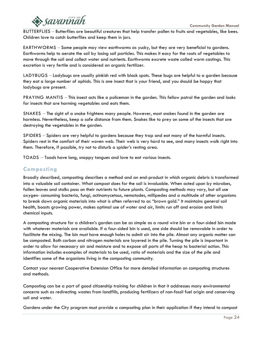#### Community Garden Manual



BUTTERFLIES – Butterflies are beautiful creatures that help transfer pollen to fruits and vegetables, like bees. Children love to catch butterflies and keep them in jars.

EARTHWORMS – Some people may view earthworms as yucky, but they are very beneficial to gardens. Earthworms help to aerate the soil by losing soil particles. This makes it easy for the roots of vegetables to move through the soil and collect water and nutrients. Earthworms excrete waste called worm castings. This excretion is very fertile and is considered an organic fertilizer.

LADYBUGS – Ladybugs are usually pinkish red with black spots. These bugs are helpful to a garden because they eat a large number of aphids. This is one insect that is your friend, and you should be happy that ladybugs are present.

PRAYING MANTIS – This insect acts like a policeman in the garden. This fellow patrol the garden and looks for insects that are harming vegetables and eats them.

SNAKES – The sight of a snake frightens many people. However, most snakes found in the garden are harmless. Nevertheless, keep a safe distance from them. Snakes like to prey on some of the insects that are destroying the vegetables in the garden.

SPIDERS – Spiders are very helpful to gardens because they trap and eat many of the harmful insects. Spiders rest in the comfort of their woven web. Their web is very hard to see, and many insects walk right into them. Therefore, if possible, try not to disturb a spider's resting area.

TOADS – Toads have long, snappy tongues and love to eat various insects.

## Composting

Broadly described, composting describes a method and an end-product in which organic debris is transformed into a valuable soil container. What compost does for the soil is invaluable. When acted upon by microbes, fallen leaves and stalks pass on their nutrients to future plants. Composting methods may vary, but all use oxygen- consuming bacteria, fungi, actinomycetous, nematodes, millipedes and a multitude of other organisms to break down organic materials into what is often referred to as "brown gold." It maintains general soil health, boosts growing power, makes optimal use of water and air, limits run off and erosion and limits chemical inputs.

A composting structure for a children's garden can be as simple as a round wire bin or a four-sided bin made with whatever materials are available. If a four-sided bin is used, one side should be removable in order to facilitate the mixing. The bin must have enough holes to admit air into the pile. Almost any organic matter can be composted. Both carbon and nitrogen materials are layered in the pile. Turning the pile is important in order to allow for necessary air and moisture and to expose all parts of the heap to bacterial action. This information includes examples of materials to be used, ratio of materials and the size of the pile and identifies some of the organisms living in the composting community.

Contact your nearest Cooperative Extension Office for more detailed information on composting structures and methods.

Composting can be a part of good citizenship training for children in that it addresses many environmental concerns such as redirecting wastes from landfills, producing fertilizers of non-fossil fuel origin and conserving soil and water.

Gardens under the City program must provide a composting plan in their application if they intend to compost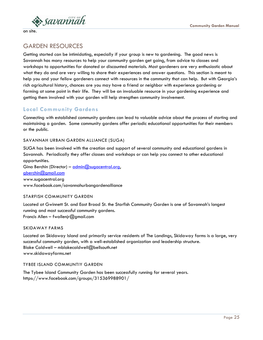

on site.

## GARDEN RESOURCES

Getting started can be intimidating, especially if your group is new to gardening. The good news is Savannah has many resources to help your community garden get going, from advice to classes and workshops to opportunities for donated or discounted materials. Most gardeners are very enthusiastic about what they do and are very willing to share their experiences and answer questions. This section is meant to help you and your fellow gardeners connect with resources in the community that can help. But with Georgia's rich agricultural history, chances are you may have a friend or neighbor with experience gardening or farming at some point in their life. They will be an invaluable resource in your gardening experience and getting them involved with your garden will help strengthen community involvement.

## Local Community Gardens

Connecting with established community gardens can lead to valuable advice about the process of starting and maintaining a garden. Some community gardens offer periodic educational opportunities for their members or the public.

#### SAVANNAH URBAN GARDEN ALLIANCE (SUGA)

SUGA has been involved with the creation and support of several community and educational gardens in Savannah. Periodically they offer classes and workshops or can help you connect to other educational opportunities.

Gina Berchin (Director) – admin $@$ sugacentral.org, gberchin@gmail.com www.sugacentral.org www.facebook.com/savannahurbangardenalliance

#### STARFISH COMMUNITY GARDEN

Located at Gwinnett St. and East Broad St. the Starfish Community Garden is one of Savannah's longest running and most successful community gardens. Francis Allen – fwallenjr@gmail.com

#### SKIDAWAY FARMS

Located on Skidaway Island and primarily service residents of The Landings, Skidaway farms is a large, very successful community garden, with a well-established organization and leadership structure. Blake Caldwell – mblakecaldwell@bellsouth.net www.skidawayfarms.net

TYBEE ISLAND COMMUNTIY GARDEN

The Tybee Island Community Garden has been successfully running for several years. https://www.facebook.com/groups/315369988901/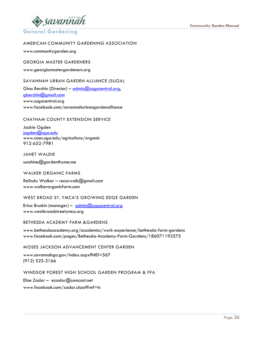

General Gardening

#### AMERICAN COMMUNITY GARDENING ASSOCIATION

www.communitygarden.org

GEORGIA MASTER GARDENERS

www.georgiamastergardeners.org

SAVANNAH URBAN GARDEN ALLIANCE (SUGA)

Gina Berchin (Director) –  $\frac{\text{admin}(Q)$ sugacentral.org, gberchin@gmail.com www.sugacentral.org www.facebook.com/savannahurbangardenalliance

CHATHAM COUNTY EXTENSION SERVICE

Jackie Ogden jogden@uga.edu www.caes.uga.edu/agriculture/organic 912-652-7981

JANET WALDIE sunshine $@$ gardenthyme.me

WALKER ORGANIC FARMS

Relinda Walker – recarwalk@gmail.com www.walkerorganicfarm.com

WEST BROAD ST. YMCA'S GROWING EDGE GARDEN

Erica Bruskin (manager) - admin@sugacentral.org www.westbroadstreetymca.org

BETHESDA ACADEMY FARM &GARDENS

www.bethesdaacademy.org/academics/work-experience/bethesda-farm-gardens www.facebook.com/pages/Bethesda-Academy-Farm-Gardens/186071192575

MOSES JACKSON ADVANCEMENT CENTER GARDEN

www.savannahga.gov/index.aspx?NID=567 (912) 525-2166

WINDSOR FOREST HIGH SCHOOL GARDEN PROGRAM & FFA

Elise Zador – ezador@comcast.net www.facebook.com/zador.class?fref=ts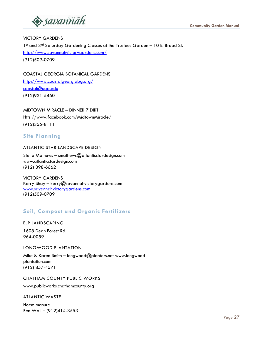

#### VICTORY GARDENS

1st and 3rd Saturday Gardening Classes at the Trustees Garden - 10 E. Broad St. http://www.savannahvictorygardens.com/ (912)509-0709

COASTAL GEORGIA BOTANICAL GARDENS http://www.coastalgeorgiabg.org/ coastal@uga.edu (912)921-5460

MIDTOWN MIRACLE – DINNER 7 DIRT Htts://www.facebook.com/MidtownMiracle/ (912)355-8111

## Site Planning

#### ATLANTIC STAR LANDSCAPE DESIGN

Stella Mathews – smathews@atlanticstardesign.com www.atlanticstardesign.com (912) 398-6662

VICTORY GARDENS Kerry Shay – kerry@savannahvictorygardens.com www.savannahvictorygardens.com (912)509-0709

## Soil, Compost and Organic Fertilizers

ELP LANDSCAPING

1608 Dean Forest Rd. 964-0059

#### LONGWOOD PLANTATION

Mike & Karen Smith – longwood@planters.net www.longwoodplantation.com (912) 857-4571

CHATHAM COUNTY PUBLIC WORKS

www.publicworks.chathamcounty.org

#### ATLANTIC WASTE

Horse manure Ben Wall – (912)414-3553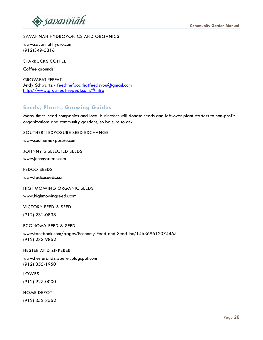

#### SAVANNAH HYDROPONICS AND ORGANICS

www.savannahhydro.com (912)349-5316

#### STARBUCKS COFFEE

Coffee grounds

GROW.EAT.REPEAT. Andy Schwartz - feedthefoodthatfeedsyou@gmail.com http://www.grow-eat-repeat.com/#intro

## Seeds, Plants, Growing Guides

Many times, seed companies and local businesses will donate seeds and left-over plant starters to non-profit organizations and community gardens, so be sure to ask!

#### SOUTHERN EXPOSURE SEED EXCHANGE

www.southernexposure.com

#### JOHNNY'S SELECTED SEEDS

www.johnnyseeds.com

FEDCO SEEDS

www.fedcoseeds.com

#### HIGHMOWING ORGANIC SEEDS

www.highmowingseeds.com

VICTORY FEED & SEED

(912) 231-0838

ECONOMY FEED & SEED

www.facebook.com/pages/Economy-Feed-and-Seed-Inc/146369612074465 (912) 233-9862

HESTER AND ZIPPERER

www.hesterandzipperer.blogspot.com (912) 355-1950

LOWES

(912) 927-0000

HOME DEPOT

(912) 352-3562